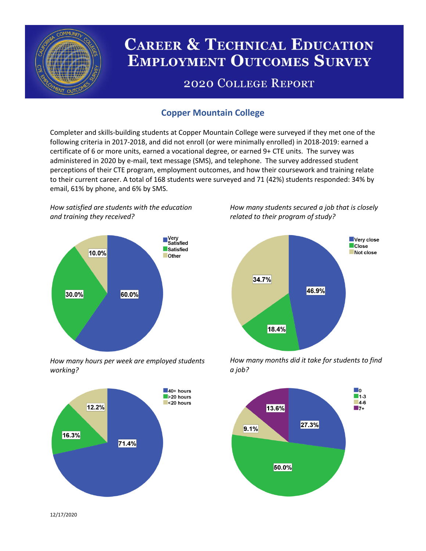

# **CAREER & TECHNICAL EDUCATION EMPLOYMENT OUTCOMES SURVEY**

## **2020 COLLEGE REPORT**

## **Copper Mountain College**

Completer and skills-building students at Copper Mountain College were surveyed if they met one of the following criteria in 2017-2018, and did not enroll (or were minimally enrolled) in 2018-2019: earned a certificate of 6 or more units, earned a vocational degree, or earned 9+ CTE units. The survey was administered in 2020 by e-mail, text message (SMS), and telephone. The survey addressed student perceptions of their CTE program, employment outcomes, and how their coursework and training relate to their current career. A total of 168 students were surveyed and 71 (42%) students responded: 34% by email, 61% by phone, and 6% by SMS.

*How satisfied are students with the education and training they received?*



*How many hours per week are employed students working?*



*How many students secured a job that is closely related to their program of study?*



*How many months did it take for students to find a job?*



12/17/2020